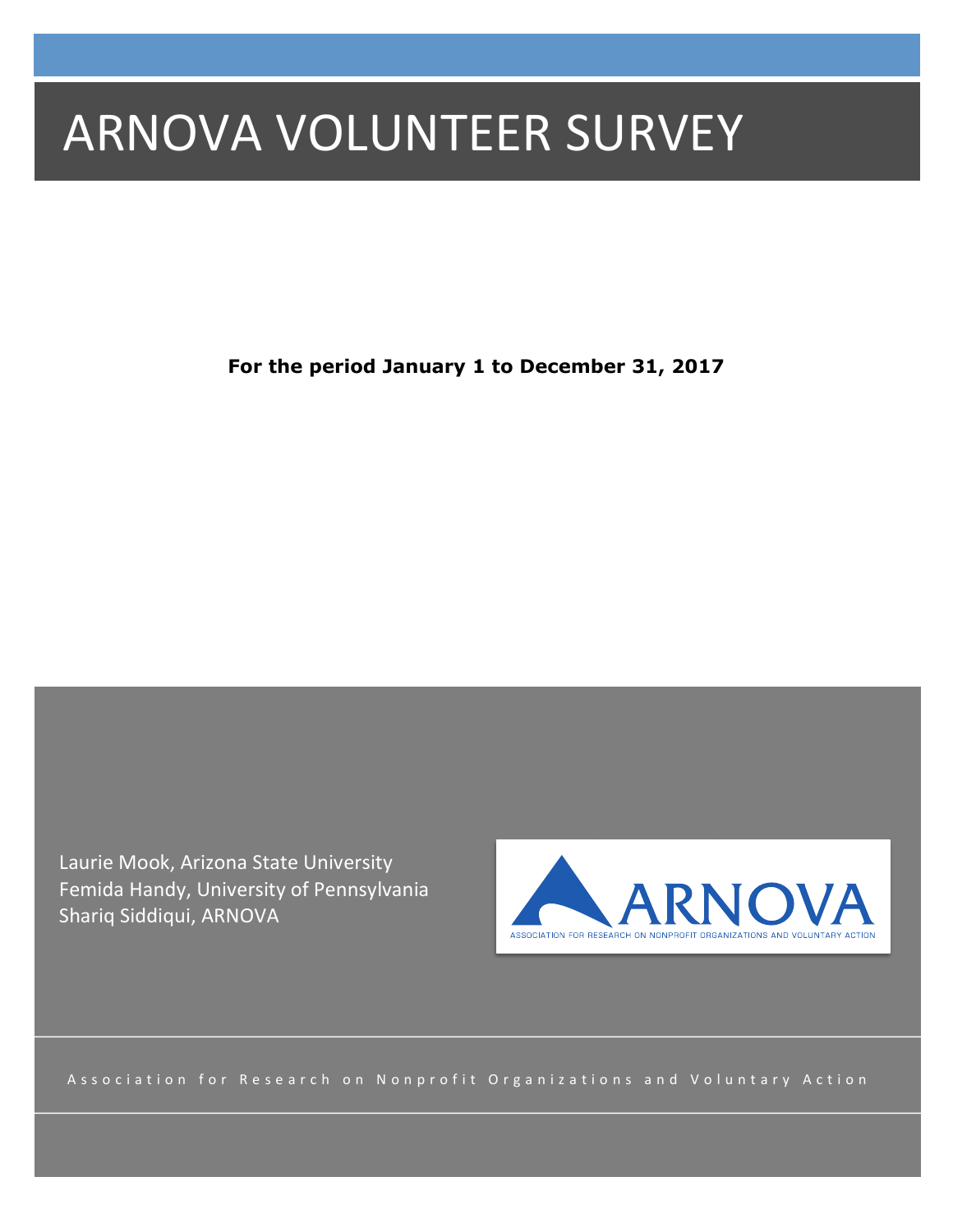# **ARNOVA VOLUNTEER SURVEY**

**For the period January 1 to December 31, 2017**

Laurie Mook, Arizona State University Femida Handy, University of Pennsylvania Shariq Siddiqui, ARNOVA



Association for Research on Nonprofit Organizations and Voluntary Action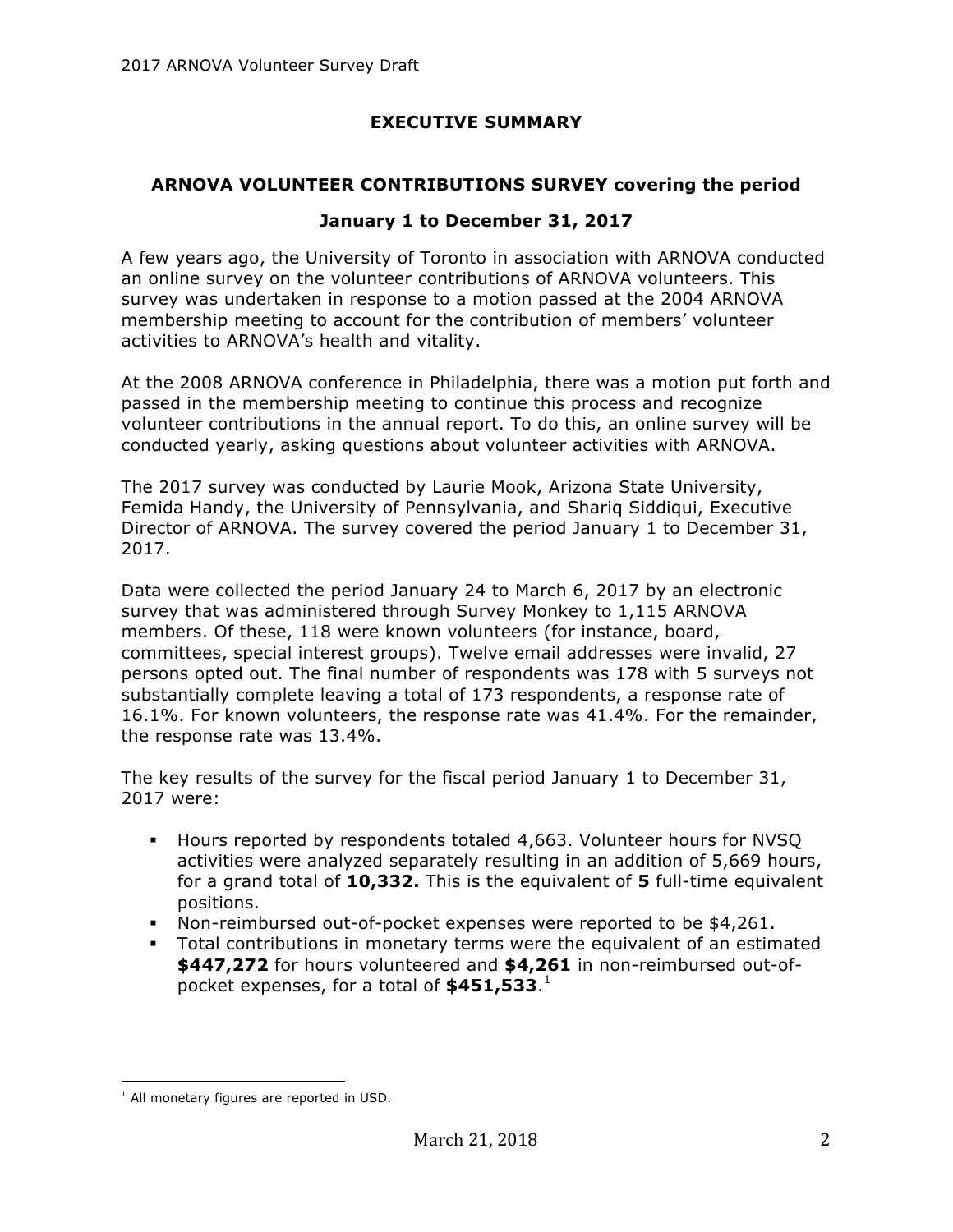# **EXECUTIVE SUMMARY**

# **ARNOVA VOLUNTEER CONTRIBUTIONS SURVEY covering the period**

## **January 1 to December 31, 2017**

A few years ago, the University of Toronto in association with ARNOVA conducted an online survey on the volunteer contributions of ARNOVA volunteers. This survey was undertaken in response to a motion passed at the 2004 ARNOVA membership meeting to account for the contribution of members' volunteer activities to ARNOVA's health and vitality.

At the 2008 ARNOVA conference in Philadelphia, there was a motion put forth and passed in the membership meeting to continue this process and recognize volunteer contributions in the annual report. To do this, an online survey will be conducted yearly, asking questions about volunteer activities with ARNOVA.

The 2017 survey was conducted by Laurie Mook, Arizona State University, Femida Handy, the University of Pennsylvania, and Shariq Siddiqui, Executive Director of ARNOVA. The survey covered the period January 1 to December 31, 2017.

Data were collected the period January 24 to March 6, 2017 by an electronic survey that was administered through Survey Monkey to 1,115 ARNOVA members. Of these, 118 were known volunteers (for instance, board, committees, special interest groups). Twelve email addresses were invalid, 27 persons opted out. The final number of respondents was 178 with 5 surveys not substantially complete leaving a total of 173 respondents, a response rate of 16.1%. For known volunteers, the response rate was 41.4%. For the remainder, the response rate was 13.4%.

The key results of the survey for the fiscal period January 1 to December 31, 2017 were:

- § Hours reported by respondents totaled 4,663. Volunteer hours for NVSQ activities were analyzed separately resulting in an addition of 5,669 hours, for a grand total of **10,332.** This is the equivalent of **5** full-time equivalent positions.
- § Non-reimbursed out-of-pocket expenses were reported to be \$4,261.
- § Total contributions in monetary terms were the equivalent of an estimated **\$447,272** for hours volunteered and **\$4,261** in non-reimbursed out-ofpocket expenses, for a total of **\$451,533**. 1

 

 $<sup>1</sup>$  All monetary figures are reported in USD.</sup>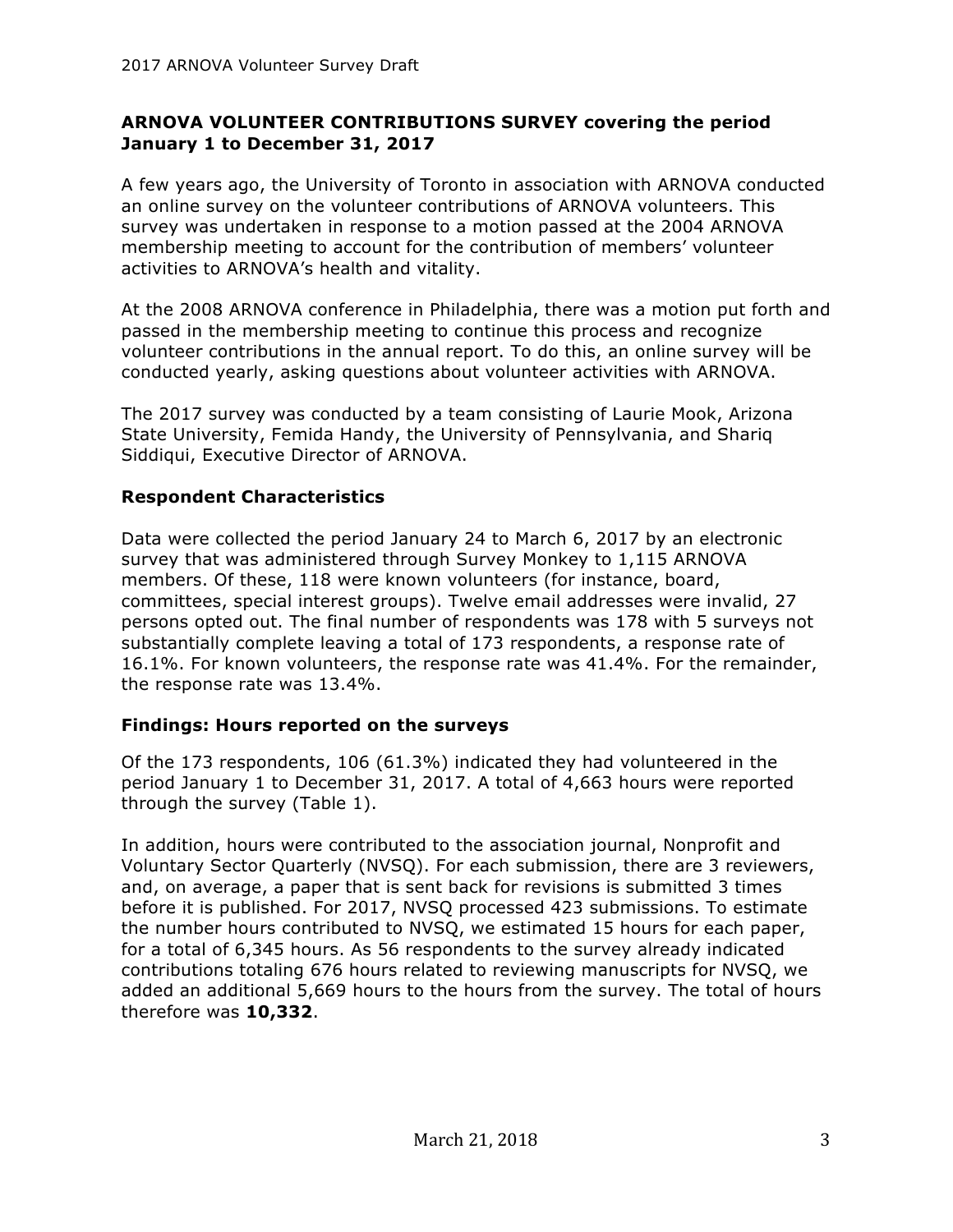## **ARNOVA VOLUNTEER CONTRIBUTIONS SURVEY covering the period January 1 to December 31, 2017**

A few years ago, the University of Toronto in association with ARNOVA conducted an online survey on the volunteer contributions of ARNOVA volunteers. This survey was undertaken in response to a motion passed at the 2004 ARNOVA membership meeting to account for the contribution of members' volunteer activities to ARNOVA's health and vitality.

At the 2008 ARNOVA conference in Philadelphia, there was a motion put forth and passed in the membership meeting to continue this process and recognize volunteer contributions in the annual report. To do this, an online survey will be conducted yearly, asking questions about volunteer activities with ARNOVA.

The 2017 survey was conducted by a team consisting of Laurie Mook, Arizona State University, Femida Handy, the University of Pennsylvania, and Shariq Siddiqui, Executive Director of ARNOVA.

# **Respondent Characteristics**

Data were collected the period January 24 to March 6, 2017 by an electronic survey that was administered through Survey Monkey to 1,115 ARNOVA members. Of these, 118 were known volunteers (for instance, board, committees, special interest groups). Twelve email addresses were invalid, 27 persons opted out. The final number of respondents was 178 with 5 surveys not substantially complete leaving a total of 173 respondents, a response rate of 16.1%. For known volunteers, the response rate was 41.4%. For the remainder, the response rate was 13.4%.

## **Findings: Hours reported on the surveys**

Of the 173 respondents, 106 (61.3%) indicated they had volunteered in the period January 1 to December 31, 2017. A total of 4,663 hours were reported through the survey (Table 1).

In addition, hours were contributed to the association journal, Nonprofit and Voluntary Sector Quarterly (NVSQ). For each submission, there are 3 reviewers, and, on average, a paper that is sent back for revisions is submitted 3 times before it is published. For 2017, NVSQ processed 423 submissions. To estimate the number hours contributed to NVSQ, we estimated 15 hours for each paper, for a total of 6,345 hours. As 56 respondents to the survey already indicated contributions totaling 676 hours related to reviewing manuscripts for NVSQ, we added an additional 5,669 hours to the hours from the survey. The total of hours therefore was **10,332**.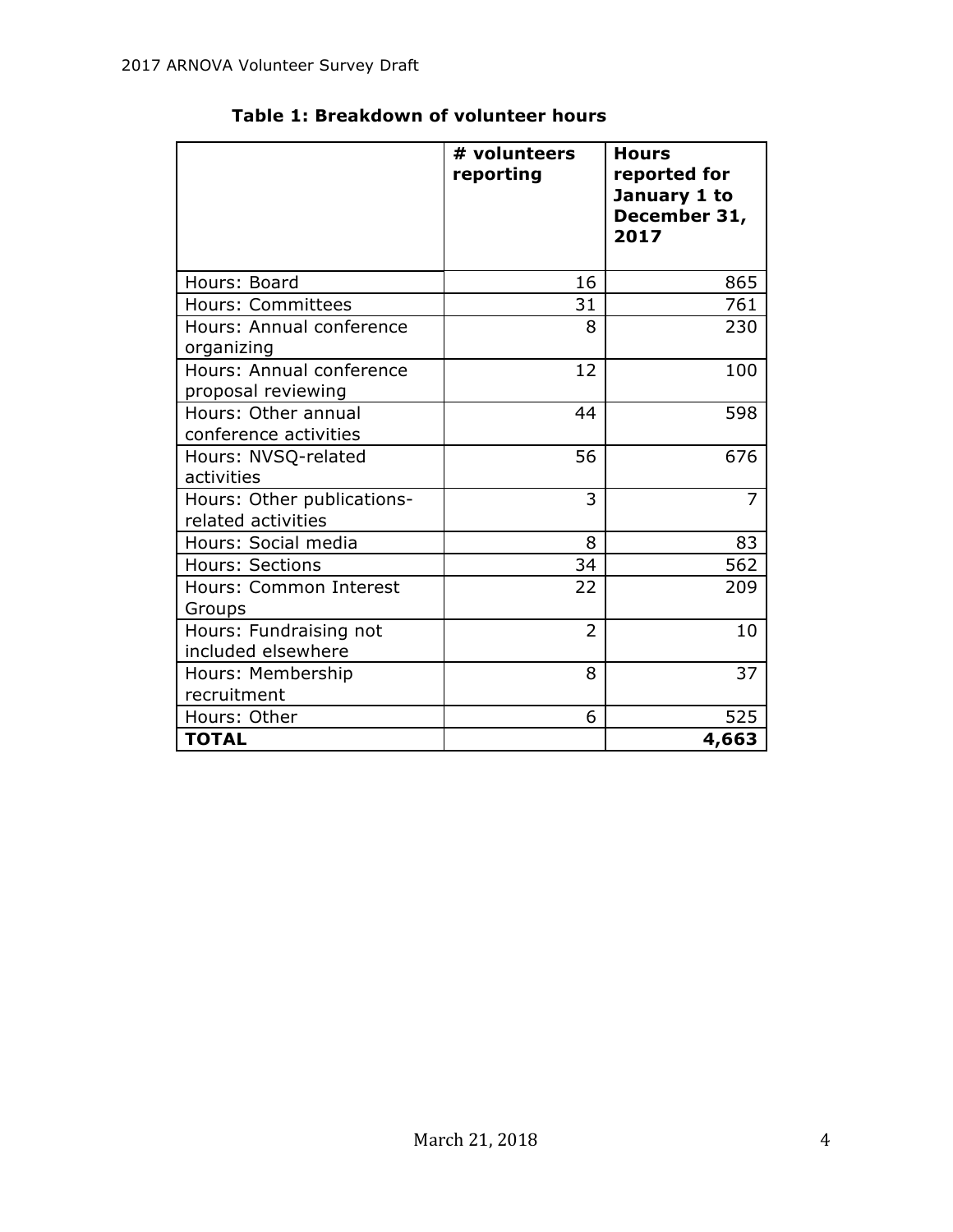|                                                  | # volunteers<br>reporting | <b>Hours</b><br>reported for<br>January 1 to<br>December 31,<br>2017 |
|--------------------------------------------------|---------------------------|----------------------------------------------------------------------|
| Hours: Board                                     | 16                        | 865                                                                  |
| Hours: Committees                                | 31                        | 761                                                                  |
| Hours: Annual conference<br>organizing           | 8                         | 230                                                                  |
| Hours: Annual conference<br>proposal reviewing   | 12                        | 100                                                                  |
| Hours: Other annual<br>conference activities     | 44                        | 598                                                                  |
| Hours: NVSQ-related<br>activities                | 56                        | 676                                                                  |
| Hours: Other publications-<br>related activities | 3                         | 7                                                                    |
| Hours: Social media                              | 8                         | 83                                                                   |
| Hours: Sections                                  | 34                        | 562                                                                  |
| Hours: Common Interest<br>Groups                 | 22                        | 209                                                                  |
| Hours: Fundraising not<br>included elsewhere     | $\overline{2}$            | 10                                                                   |
| Hours: Membership<br>recruitment                 | 8                         | 37                                                                   |
| Hours: Other                                     | 6                         | 525                                                                  |
| <b>TOTAL</b>                                     |                           | 4,663                                                                |

# **Table 1: Breakdown of volunteer hours**